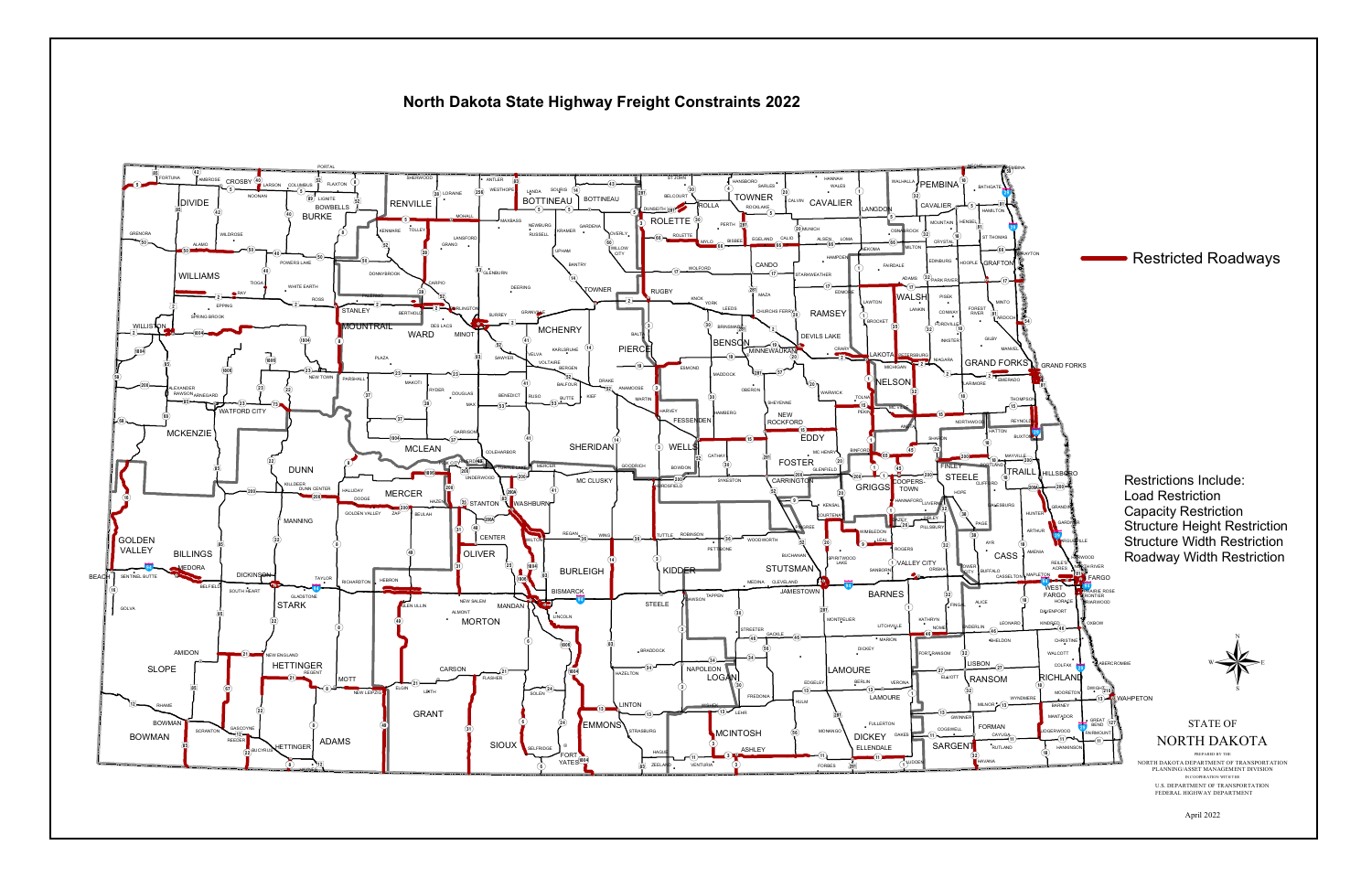## North Dakota State Highway Freight Constraints 2022